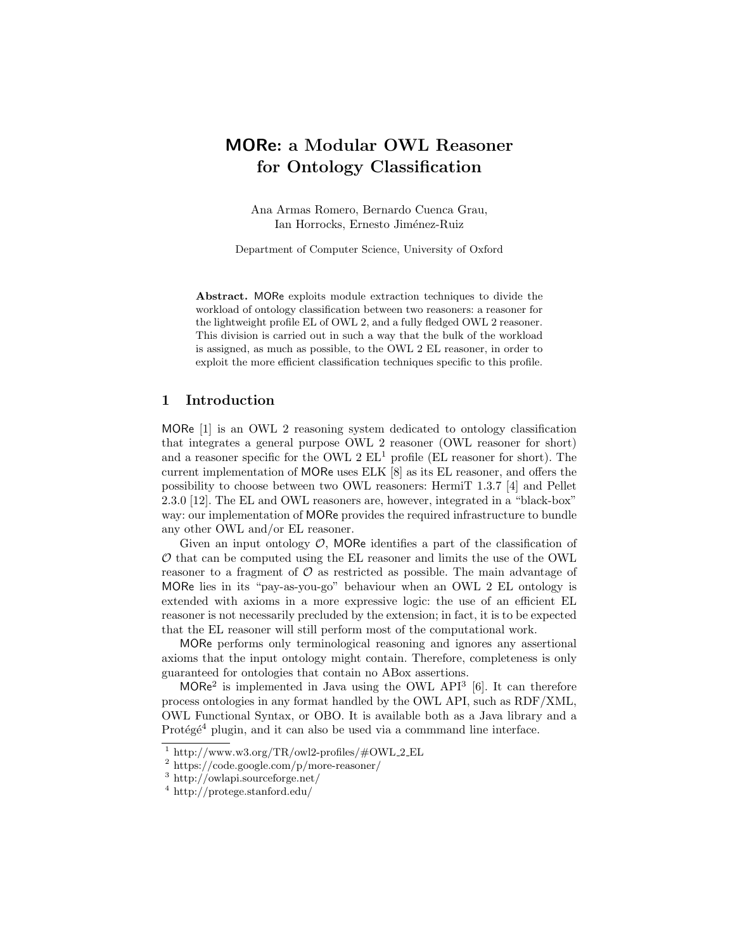# MORe: a Modular OWL Reasoner for Ontology Classification

Ana Armas Romero, Bernardo Cuenca Grau, Ian Horrocks, Ernesto Jiménez-Ruiz

Department of Computer Science, University of Oxford

Abstract. MORe exploits module extraction techniques to divide the workload of ontology classification between two reasoners: a reasoner for the lightweight profile EL of OWL 2, and a fully fledged OWL 2 reasoner. This division is carried out in such a way that the bulk of the workload is assigned, as much as possible, to the OWL 2 EL reasoner, in order to exploit the more efficient classification techniques specific to this profile.

## 1 Introduction

MORe [1] is an OWL 2 reasoning system dedicated to ontology classification that integrates a general purpose OWL 2 reasoner (OWL reasoner for short) and a reasoner specific for the OWL  $2 \text{ EL}^1$  profile (EL reasoner for short). The current implementation of MORe uses ELK [8] as its EL reasoner, and offers the possibility to choose between two OWL reasoners: HermiT 1.3.7 [4] and Pellet 2.3.0 [12]. The EL and OWL reasoners are, however, integrated in a "black-box" way: our implementation of MORe provides the required infrastructure to bundle any other OWL and/or EL reasoner.

Given an input ontology  $\mathcal{O}$ , MORe identifies a part of the classification of  $\mathcal O$  that can be computed using the EL reasoner and limits the use of the OWL reasoner to a fragment of  $\mathcal O$  as restricted as possible. The main advantage of MORe lies in its "pay-as-you-go" behaviour when an OWL 2 EL ontology is extended with axioms in a more expressive logic: the use of an efficient EL reasoner is not necessarily precluded by the extension; in fact, it is to be expected that the EL reasoner will still perform most of the computational work.

MORe performs only terminological reasoning and ignores any assertional axioms that the input ontology might contain. Therefore, completeness is only guaranteed for ontologies that contain no ABox assertions.

 $MORe<sup>2</sup>$  is implemented in Java using the OWL API<sup>3</sup> [6]. It can therefore process ontologies in any format handled by the OWL API, such as RDF/XML, OWL Functional Syntax, or OBO. It is available both as a Java library and a Protégé<sup>4</sup> plugin, and it can also be used via a commmand line interface.

<sup>&</sup>lt;sup>1</sup> http://www.w3.org/TR/owl2-profiles/#OWL\_2\_EL

<sup>2</sup> https://code.google.com/p/more-reasoner/

<sup>3</sup> http://owlapi.sourceforge.net/

<sup>4</sup> http://protege.stanford.edu/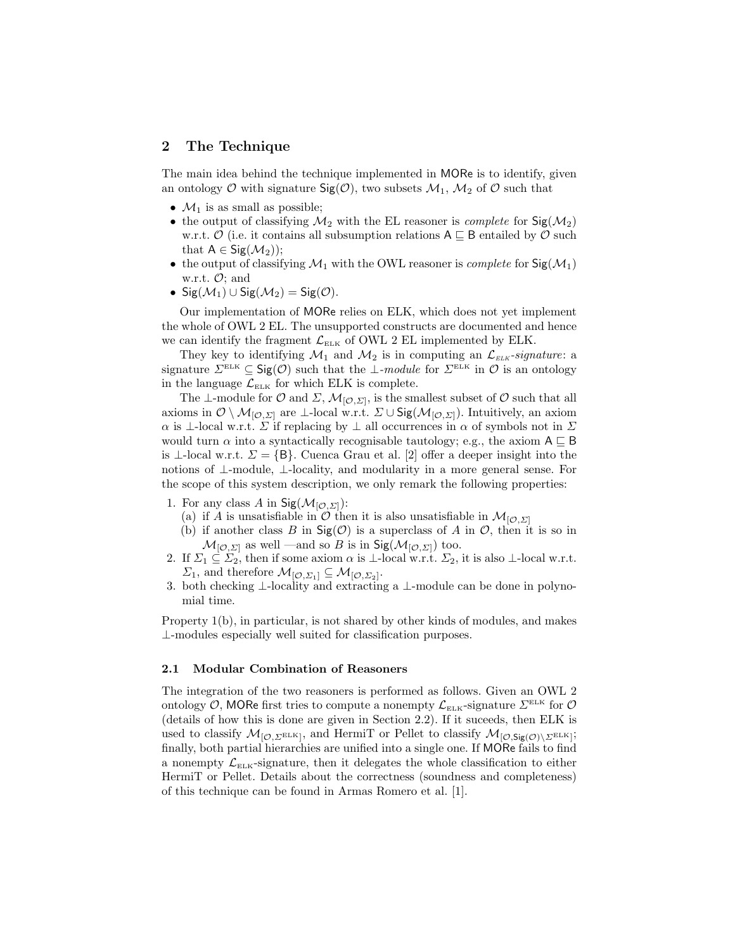# 2 The Technique

The main idea behind the technique implemented in MORe is to identify, given an ontology  $\mathcal O$  with signature  $\mathsf{Sig}(\mathcal O)$ , two subsets  $\mathcal M_1$ ,  $\mathcal M_2$  of  $\mathcal O$  such that

- $\mathcal{M}_1$  is as small as possible;
- the output of classifying  $\mathcal{M}_2$  with the EL reasoner is *complete* for  $\text{Sig}(\mathcal{M}_2)$ w.r.t.  $\mathcal{O}$  (i.e. it contains all subsumption relations  $A \sqsubseteq B$  entailed by  $\mathcal{O}$  such that  $A \in \text{Sig}(\mathcal{M}_2)$ ;
- the output of classifying  $\mathcal{M}_1$  with the OWL reasoner is *complete* for  $\text{Sig}(\mathcal{M}_1)$ w.r.t.  $\mathcal{O}$ ; and
- Sig $(\mathcal{M}_1) \cup$  Sig $(\mathcal{M}_2) =$  Sig $(\mathcal{O})$ .

Our implementation of MORe relies on ELK, which does not yet implement the whole of OWL 2 EL. The unsupported constructs are documented and hence we can identify the fragment  $\mathcal{L}_{\text{ELK}}$  of OWL 2 EL implemented by ELK.

They key to identifying  $\mathcal{M}_1$  and  $\mathcal{M}_2$  is in computing an  $\mathcal{L}_{ELK}$ -signature: a signature  $\Sigma^{\text{\tiny ELK}} \subseteq \text{Sig}(\mathcal{O})$  such that the  $\bot$ -module for  $\Sigma^{\text{\tiny ELK}}$  in  $\mathcal{O}$  is an ontology in the language  $\mathcal{L}_{\text{ELK}}$  for which ELK is complete.

The ⊥-module for  $\mathcal O$  and  $\Sigma$ ,  $\mathcal M_{[\mathcal O, \Sigma]}$ , is the smallest subset of  $\mathcal O$  such that all axioms in  $\mathcal{O} \setminus \mathcal{M}_{[\mathcal{O},\Sigma]}$  are ⊥-local w.r.t.  $\Sigma \cup \mathsf{Sig}(\mathcal{M}_{[\mathcal{O},\Sigma]})$ . Intuitively, an axiom  $\alpha$  is ⊥-local w.r.t.  $\Sigma$  if replacing by  $\bot$  all occurrences in  $\alpha$  of symbols not in  $\Sigma$ would turn  $\alpha$  into a syntactically recognisable tautology; e.g., the axiom  $A \subseteq B$ is ⊥-local w.r.t.  $\Sigma = \{B\}$ . Cuenca Grau et al. [2] offer a deeper insight into the notions of ⊥-module, ⊥-locality, and modularity in a more general sense. For the scope of this system description, we only remark the following properties:

- 1. For any class A in  $\text{Sig}(\mathcal{M}_{[\mathcal{O},\Sigma]})$ :
	- (a) if A is unsatisfiable in  $\mathcal O$  then it is also unsatisfiable in  $\mathcal M_{[\mathcal O,\Sigma]}$
	- (b) if another class B in  $\text{Sig}(\mathcal{O})$  is a superclass of A in  $\mathcal{O}$ , then it is so in  $\mathcal{M}_{[\mathcal{O},\Sigma]}$  as well —and so B is in Sig( $\mathcal{M}_{[\mathcal{O},\Sigma]}$ ) too.
- 2. If  $\Sigma_1 \subseteq \Sigma_2$ , then if some axiom  $\alpha$  is  $\bot$ -local w.r.t.  $\Sigma_2$ , it is also  $\bot$ -local w.r.t.  $\Sigma_1$ , and therefore  $\mathcal{M}_{[\mathcal{O},\Sigma_1]} \subseteq \mathcal{M}_{[\mathcal{O},\Sigma_2]}$ .
- 3. both checking ⊥-locality and extracting a ⊥-module can be done in polynomial time.

Property 1(b), in particular, is not shared by other kinds of modules, and makes ⊥-modules especially well suited for classification purposes.

#### 2.1 Modular Combination of Reasoners

The integration of the two reasoners is performed as follows. Given an OWL 2 ontology O, MORe first tries to compute a nonempty  $\mathcal{L}_{\text{ELK}}$ -signature  $\Sigma^{\text{ELK}}$  for O (details of how this is done are given in Section 2.2). If it suceeds, then ELK is used to classify  $\mathcal{M}_{[\mathcal{O},\Sigma^{\mathrm{ELK}}]}$ , and HermiT or Pellet to classify  $\mathcal{M}_{[\mathcal{O},\mathsf{Sig}(\mathcal{O})\setminus\Sigma^{\mathrm{ELK}}]};$ finally, both partial hierarchies are unified into a single one. If MORe fails to find a nonempty  $\mathcal{L}_{\text{ELK}}$ -signature, then it delegates the whole classification to either HermiT or Pellet. Details about the correctness (soundness and completeness) of this technique can be found in Armas Romero et al. [1].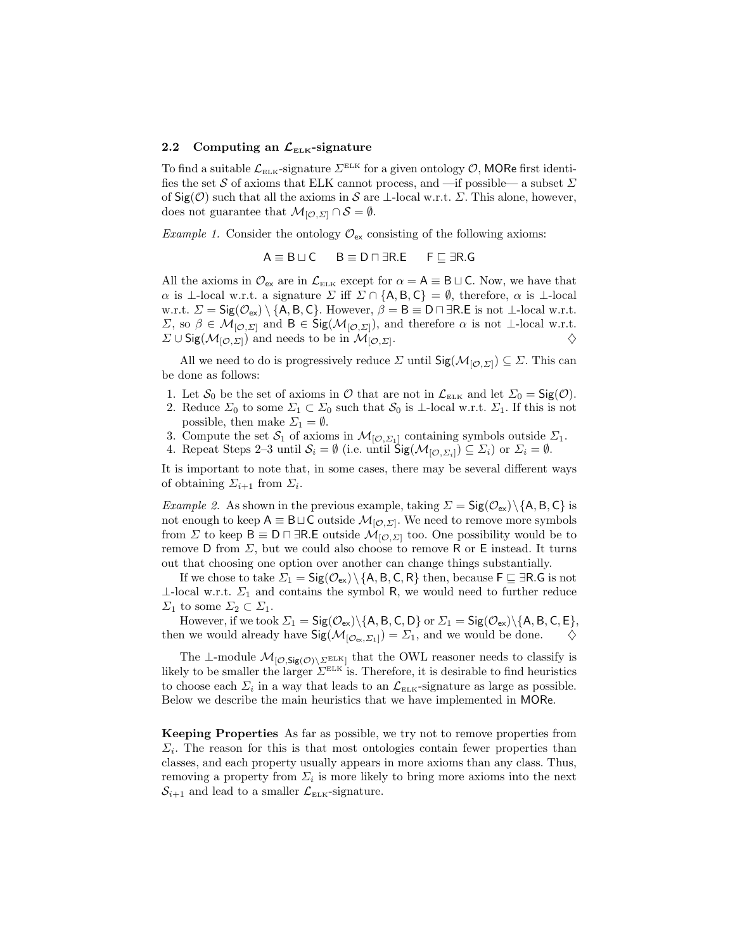#### 2.2 Computing an  $\mathcal{L}_{\text{ELK}}$ -signature

To find a suitable  $\mathcal{L}_{\text{\tiny ELK}}$ -signature  $\Sigma^{\text{\tiny ELK}}$  for a given ontology  $\mathcal{O}$ , MORe first identifies the set  $\mathcal S$  of axioms that ELK cannot process, and —if possible— a subset  $\varSigma$ of  $\textsf{Sig}(\mathcal{O})$  such that all the axioms in S are ⊥-local w.r.t.  $\Sigma$ . This alone, however, does not guarantee that  $\mathcal{M}_{\mathcal{O},\Sigma} \cap \mathcal{S} = \emptyset$ .

Example 1. Consider the ontology  $\mathcal{O}_{\mathsf{ex}}$  consisting of the following axioms:

$$
A \equiv B \sqcup C \qquad B \equiv D \sqcap \exists R.E \qquad F \sqsubseteq \exists R.G
$$

All the axioms in  $\mathcal{O}_{\mathsf{ex}}$  are in  $\mathcal{L}_{\mathsf{ELK}}$  except for  $\alpha = \mathsf{A} \equiv \mathsf{B} \sqcup \mathsf{C}$ . Now, we have that  $\alpha$  is ⊥-local w.r.t. a signature  $\Sigma$  iff  $\Sigma \cap \{A, B, C\} = \emptyset$ , therefore,  $\alpha$  is ⊥-local w.r.t.  $\Sigma = \mathsf{Sig}(\mathcal{O}_{\mathsf{ex}}) \setminus \{\mathsf{A}, \mathsf{B}, \mathsf{C}\}.$  However,  $\beta = \mathsf{B} \equiv \mathsf{D} \sqcap \exists \mathsf{R}.\mathsf{E}$  is not ⊥-local w.r.t.  $\Sigma$ , so  $\beta \in \mathcal{M}_{[O,\Sigma]}$  and  $B \in \text{Sig}(\mathcal{M}_{[O,\Sigma]})$ , and therefore  $\alpha$  is not ⊥-local w.r.t.  $\Sigma \cup$  Sig( $\mathcal{M}_{[\mathcal{O},\Sigma]}$ ) and needs to be in  $\mathcal{M}_{[\mathcal{O},\Sigma]}$ . . And the contract of  $\Diamond$ 

All we need to do is progressively reduce  $\Sigma$  until  $\mathsf{Sig}(\mathcal{M}_{[\mathcal{O},\Sigma]}) \subseteq \Sigma$ . This can be done as follows:

- 1. Let  $S_0$  be the set of axioms in  $\mathcal O$  that are not in  $\mathcal L_{\text{ELK}}$  and let  $\Sigma_0 = \text{Sig}(\mathcal O)$ .
- 2. Reduce  $\Sigma_0$  to some  $\Sigma_1 \subset \Sigma_0$  such that  $S_0$  is  $\bot$ -local w.r.t.  $\Sigma_1$ . If this is not possible, then make  $\Sigma_1 = \emptyset$ .
- 3. Compute the set  $S_1$  of axioms in  $\mathcal{M}_{[\mathcal{O},\Sigma_1]}$  containing symbols outside  $\Sigma_1$ .
- 4. Repeat Steps 2–3 until  $S_i = \emptyset$  (i.e. until  $\operatorname{Sig}(\mathcal{M}_{[\mathcal{O},\Sigma_i]}) \subseteq \Sigma_i$ ) or  $\Sigma_i = \emptyset$ .

It is important to note that, in some cases, there may be several different ways of obtaining  $\Sigma_{i+1}$  from  $\Sigma_i$ .

*Example 2.* As shown in the previous example, taking  $\Sigma = \mathsf{Sig}(\mathcal{O}_{\mathsf{ex}}) \setminus \{\mathsf{A}, \mathsf{B}, \mathsf{C}\}\$ is not enough to keep  $A \equiv B \sqcup C$  outside  $\mathcal{M}_{[\mathcal{O},\Sigma]}$ . We need to remove more symbols from  $\Sigma$  to keep  $B \equiv D \sqcap \exists R.E$  outside  $\mathcal{M}_{[\mathcal{O},\Sigma]}$  too. One possibility would be to remove D from  $\Sigma$ , but we could also choose to remove R or E instead. It turns out that choosing one option over another can change things substantially.

If we chose to take  $\Sigma_1 = \mathsf{Sig}(\mathcal{O}_{\mathsf{ex}}) \setminus \{\mathsf{A}, \mathsf{B}, \mathsf{C}, \mathsf{R}\}\)$  then, because  $\mathsf{F} \sqsubseteq \exists \mathsf{R}.\mathsf{G}$  is not  $\perp$ -local w.r.t.  $\Sigma_1$  and contains the symbol R, we would need to further reduce  $\Sigma_1$  to some  $\Sigma_2 \subset \Sigma_1$ .

However, if we took  $\Sigma_1 = \mathsf{Sig}(\mathcal{O}_{\mathsf{ex}})\backslash\{\mathsf{A},\mathsf{B},\mathsf{C},\mathsf{D}\}$  or  $\Sigma_1 = \mathsf{Sig}(\mathcal{O}_{\mathsf{ex}})\backslash\{\mathsf{A},\mathsf{B},\mathsf{C},\mathsf{E}\},$ then we would already have  $\mathsf{Sig}(\mathcal{M}_{[\mathcal{O}_{\mathsf{ev}},\Sigma_1]}) = \Sigma_1$ , and we would be done.  $\diamondsuit$ 

The ⊥-module  $\mathcal{M}_{[\mathcal{O},\mathsf{Sig}(\mathcal{O})\setminus\Sigma^{\mathrm{ELK}}]}$  that the OWL reasoner needs to classify is likely to be smaller the larger  $\Sigma^{\text{\tiny{ELK}}}$  is. Therefore, it is desirable to find heuristics to choose each  $\Sigma_i$  in a way that leads to an  $\mathcal{L}_{\text{\tiny{ELK}}}$ -signature as large as possible. Below we describe the main heuristics that we have implemented in MORe.

Keeping Properties As far as possible, we try not to remove properties from  $\Sigma_i$ . The reason for this is that most ontologies contain fewer properties than classes, and each property usually appears in more axioms than any class. Thus, removing a property from  $\Sigma_i$  is more likely to bring more axioms into the next  $\mathcal{S}_{i+1}$  and lead to a smaller  $\mathcal{L}_{\text{ELK}}$ -signature.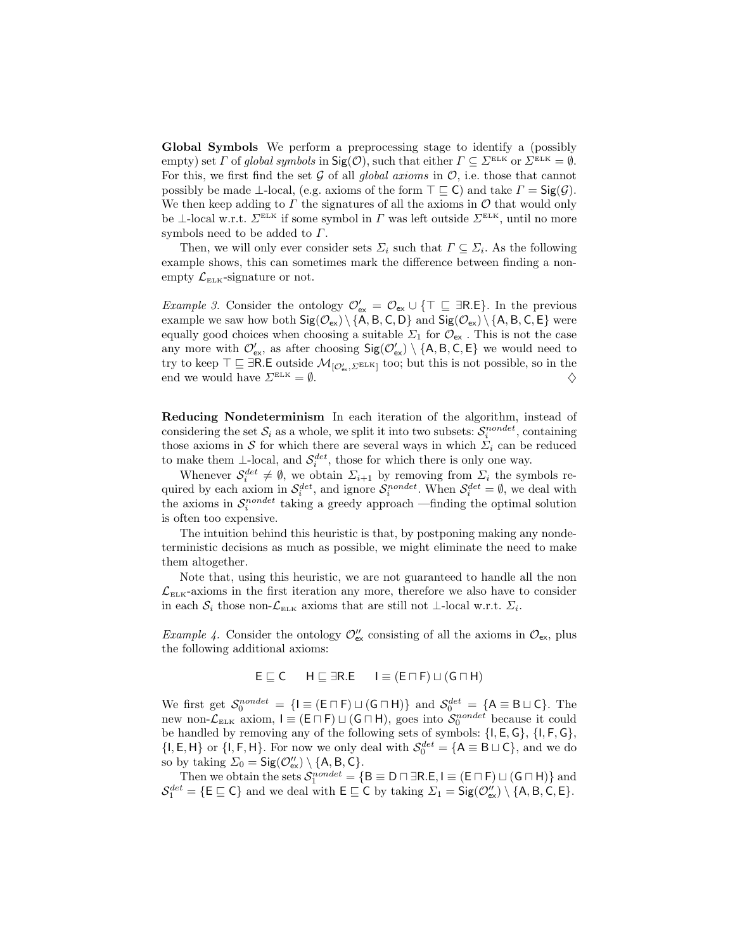Global Symbols We perform a preprocessing stage to identify a (possibly empty) set  $\Gamma$  of global symbols in  $\text{Sig}(\mathcal{O})$ , such that either  $\Gamma \subseteq \Sigma^{\text{\tiny{ELK}}}$  or  $\Sigma^{\text{\tiny{ELK}}} = \emptyset$ . For this, we first find the set  $G$  of all global axioms in  $O$ , i.e. those that cannot possibly be made  $\perp$ -local, (e.g. axioms of the form  $\top \sqsubseteq C$ ) and take  $\Gamma = \mathsf{Sig}(\mathcal{G})$ . We then keep adding to  $\Gamma$  the signatures of all the axioms in  $\mathcal O$  that would only be ⊥-local w.r.t.  $\Sigma^{\text{ELK}}$  if some symbol in  $\Gamma$  was left outside  $\Sigma^{\text{ELK}}$ , until no more symbols need to be added to  $\Gamma$ .

Then, we will only ever consider sets  $\Sigma_i$  such that  $\Gamma \subseteq \Sigma_i$ . As the following example shows, this can sometimes mark the difference between finding a nonempty  $\mathcal{L}_{\text{\tiny{ELK}}}$ -signature or not.

Example 3. Consider the ontology  $\mathcal{O}'_{ex} = \mathcal{O}_{ex} \cup \{T \sqsubseteq \exists R.E\}$ . In the previous example we saw how both  $Sig(\mathcal{O}_{ex}) \setminus \{A, B, C, D\}$  and  $Sig(\mathcal{O}_{ex}) \setminus \{A, B, C, E\}$  were equally good choices when choosing a suitable  $\Sigma_1$  for  $\mathcal{O}_{\mathsf{ex}}$ . This is not the case any more with  $\mathcal{O}_{\text{ex}}'$ , as after choosing  $\text{Sig}(\mathcal{O}_{\text{ex}}') \setminus \{A, B, C, E\}$  we would need to try to keep  $\top \sqsubseteq \exists R.E$  outside  $\mathcal{M}_{[\mathcal{O}'_{\mathsf{ex}}, \Sigma^{\mathrm{ELK}}]}$  too; but this is not possible, so in the end we would have  $\Sigma^{\text{\tiny ELK}} = \emptyset$ .

Reducing Nondeterminism In each iteration of the algorithm, instead of considering the set  $S_i$  as a whole, we split it into two subsets:  $S_i^{nondet}$ , containing those axioms in S for which there are several ways in which  $\Sigma_i$  can be reduced to make them  $\perp$ -local, and  $\mathcal{S}_i^{det}$ , those for which there is only one way.

Whenever  $S_i^{det} \neq \emptyset$ , we obtain  $\Sigma_{i+1}$  by removing from  $\Sigma_i$  the symbols required by each axiom in  $\mathcal{S}_i^{det}$ , and ignore  $\mathcal{S}_i^{nondet}$ . When  $\mathcal{S}_i^{det} = \emptyset$ , we deal with the axioms in  $S_i^{nondet}$  taking a greedy approach —finding the optimal solution is often too expensive.

The intuition behind this heuristic is that, by postponing making any nondeterministic decisions as much as possible, we might eliminate the need to make them altogether.

Note that, using this heuristic, we are not guaranteed to handle all the non  $\mathcal{L}_{\text{ELK}}$ -axioms in the first iteration any more, therefore we also have to consider in each  $S_i$  those non- $\mathcal{L}_{\text{\tiny{ELK}}}$  axioms that are still not  $\bot$ -local w.r.t.  $\Sigma_i$ .

Example 4. Consider the ontology  $\mathcal{O}_{\mathsf{ex}}''$  consisting of all the axioms in  $\mathcal{O}_{\mathsf{ex}}$ , plus the following additional axioms:

$$
E \sqsubseteq C \qquad H \sqsubseteq \exists R.E \qquad I \equiv (E \sqcap F) \sqcup (G \sqcap H)
$$

We first get  $S_0^{nondet} = \{I \equiv (E \cap F) \sqcup (G \cap H)\}$  and  $S_0^{det} = \{A \equiv B \sqcup C\}$ . The new non- $\mathcal{L}_{\text{\tiny{ELK}}}$  axiom,  $I \equiv (\mathsf{E} \cap \mathsf{F}) \sqcup (\mathsf{G} \cap \mathsf{H})$ , goes into  $\mathcal{S}_0^{nondet}$  because it could be handled by removing any of the following sets of symbols: {I, E, G}, {I, F, G},  $\{I, E, H\}$  or  $\{I, F, H\}$ . For now we only deal with  $S_0^{det} = \{A \equiv B \sqcup C\}$ , and we do so by taking  $\Sigma_0 = \mathsf{Sig}(\mathcal{O}'_{\mathsf{ex}}) \setminus \{\mathsf{A}, \mathsf{B}, \mathsf{C}\}.$ 

Then we obtain the sets  $S_1^{nondet} = \{ \mathsf{B} \equiv \mathsf{D} \sqcap \exists \mathsf{R}.\mathsf{E}, \mathsf{I} \equiv (\mathsf{E} \sqcap \mathsf{F}) \sqcup (\mathsf{G} \sqcap \mathsf{H}) \}$  and  $\mathcal{S}_1^{det} = \{ \mathsf{E} \sqsubseteq \mathsf{C} \}$  and we deal with  $\mathsf{E} \sqsubseteq \mathsf{C}$  by taking  $\Sigma_1 = \mathsf{Sig}(\mathcal{O}_{\mathsf{ex}}'') \setminus \{ \mathsf{A}, \mathsf{B}, \mathsf{C}, \mathsf{E} \}.$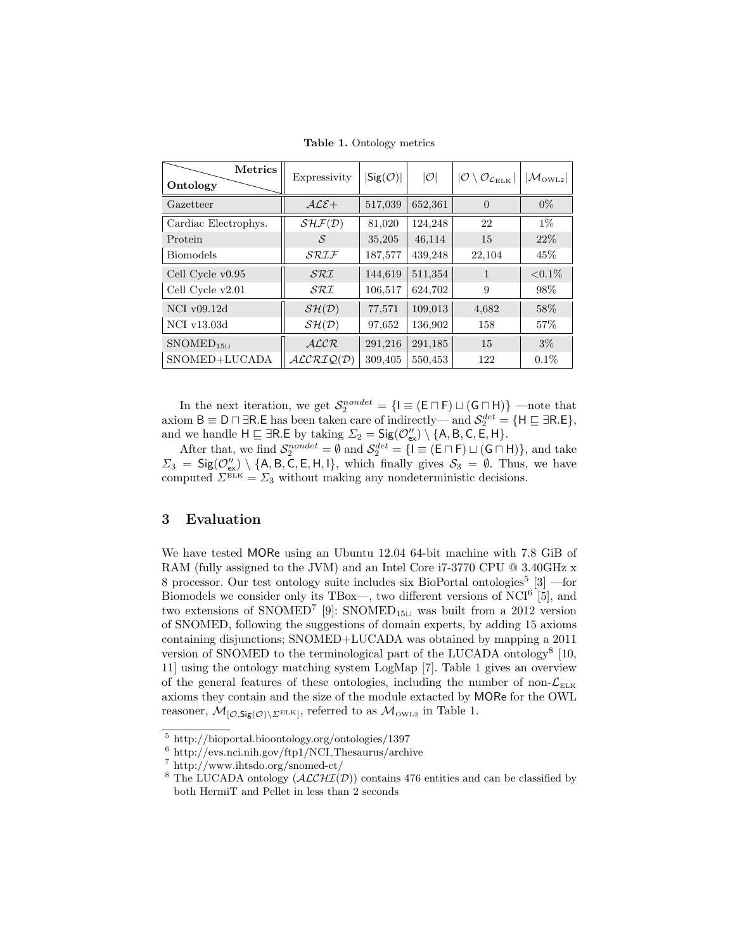| <b>Metrics</b><br>Ontology | Expressivity                        | $ \mathsf{Sig}(\mathcal{O}) $ | O       | $ {\cal O} \setminus {\cal O}_{{\cal L}_{\rm ELK}} $ | $ \mathcal{M}_{\rm OWL2} $ |
|----------------------------|-------------------------------------|-------------------------------|---------|------------------------------------------------------|----------------------------|
| Gazetteer                  | $ALE+$                              | 517,039                       | 652,361 | $\Omega$                                             | $0\%$                      |
| Cardiac Electrophys.       | SHF(D)                              | 81,020                        | 124,248 | 22                                                   | $1\%$                      |
| Protein                    | S                                   | 35,205                        | 46,114  | 15                                                   | 22%                        |
| <b>Biomodels</b>           | SRIF                                | 187,577                       | 439,248 | 22,104                                               | 45%                        |
| Cell Cycle $v0.95$         | SRL                                 | 144,619                       | 511,354 | 1                                                    | ${<}0.1\%$                 |
| Cell Cycle v2.01           | $\mathcal{S}\mathcal{R}\mathcal{I}$ | 106,517                       | 624,702 | 9                                                    | 98%                        |
| NCI $v09.12d$              | $\mathcal{SH}(\mathcal{D})$         | 77,571                        | 109,013 | 4,682                                                | 58\%                       |
| NCI v13.03d                | $\mathcal{SH}(\mathcal{D})$         | 97,652                        | 136,902 | 158                                                  | 57\%                       |
| $S NOMED_{1511}$           | ALCR                                | 291,216                       | 291,185 | 15                                                   | $3\%$                      |
| SNOMED+LUCADA              | ALCRIQ(D)                           | 309,405                       | 550,453 | 122                                                  | $0.1\%$                    |

Table 1. Ontology metrics

In the next iteration, we get  $S_2^{nondet} = \{I \equiv (E \cap F) \sqcup (G \cap H)\}$  —note that axiom  $B \equiv D \sqcap \exists R$ . E has been taken care of indirectly— and  $\mathcal{S}_2^{det} = \{H \sqsubseteq \exists R.E\},\$ and we handle  $H \sqsubseteq \exists R.E$  by taking  $\Sigma_2 = \mathsf{Sig}(\mathcal{O}''_{ex}) \setminus \{A, B, C, E, H\}.$ 

After that, we find  $\mathcal{S}_2^{nondet} = \emptyset$  and  $\mathcal{S}_2^{det} = \{ \mathsf{I} \equiv (\mathsf{E} \cap \mathsf{F}) \sqcup (\mathsf{G} \cap \mathsf{H}) \}$ , and take  $\Sigma_3 = \mathsf{Sig}(\mathcal{O}'_{\mathsf{ex}}) \setminus \{\mathsf{A}, \mathsf{B}, \mathsf{C}, \mathsf{E}, \mathsf{H}, \mathsf{I}\},$  which finally gives  $S_3 = \emptyset$ . Thus, we have computed  $\Sigma^{\text{\tiny{ELK}}} = \Sigma_3$  without making any nondeterministic decisions.

## 3 Evaluation

We have tested MORe using an Ubuntu 12.04 64-bit machine with 7.8 GiB of RAM (fully assigned to the JVM) and an Intel Core i7-3770 CPU @ 3.40GHz x 8 processor. Our test ontology suite includes six BioPortal ontologies<sup>5</sup> [3] —for Biomodels we consider only its TBox—, two different versions of NCI<sup>6</sup> [5], and two extensions of SNOMED<sup>7</sup> [9]: SNOMED<sub>15 $\sqcup$ </sub> was built from a 2012 version of SNOMED, following the suggestions of domain experts, by adding 15 axioms containing disjunctions; SNOMED+LUCADA was obtained by mapping a 2011 version of SNOMED to the terminological part of the LUCADA ontology<sup>8</sup> [10, 11] using the ontology matching system LogMap [7]. Table 1 gives an overview of the general features of these ontologies, including the number of non- $\mathcal{L}_{\text{ELK}}$ axioms they contain and the size of the module extacted by MORe for the OWL reasoner,  $\mathcal{M}_{[\mathcal{O},\mathsf{Sig}(\mathcal{O})\setminus\Sigma^{\mathrm{ELK}}]}$ , referred to as  $\mathcal{M}_{\mathrm{OWL2}}$  in Table 1.

<sup>5</sup> http://bioportal.bioontology.org/ontologies/1397

<sup>6</sup> http://evs.nci.nih.gov/ftp1/NCI Thesaurus/archive

<sup>7</sup> http://www.ihtsdo.org/snomed-ct/

<sup>&</sup>lt;sup>8</sup> The LUCADA ontology  $(\text{ALCHI}(D))$  contains 476 entities and can be classified by both HermiT and Pellet in less than 2 seconds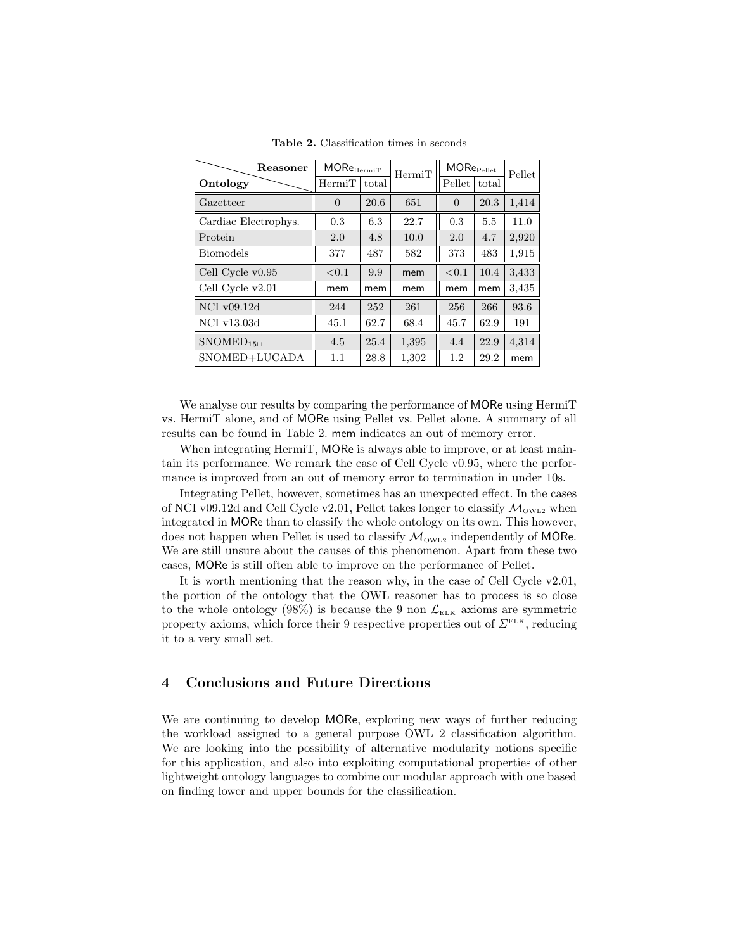| Reasoner             | $\mathsf{MORe}_\mathrm{HermiT}$ |       | HermiT | $\mathsf{MORe}_\mathrm{Pellet}$ |       | Pellet |
|----------------------|---------------------------------|-------|--------|---------------------------------|-------|--------|
| Ontology             | HermiT                          | total |        | Pellet                          | total |        |
| Gazetteer            | 0                               | 20.6  | 651    | $\overline{0}$                  | 20.3  | 1,414  |
| Cardiac Electrophys. | 0.3                             | 6.3   | 22.7   | 0.3                             | 5.5   | 11.0   |
| Protein              | 2.0                             | 4.8   | 10.0   | 2.0                             | 4.7   | 2,920  |
| <b>Biomodels</b>     | 377                             | 487   | 582    | 373                             | 483   | 1,915  |
| Cell Cycle $v0.95$   | < 0.1                           | 9.9   | mem    | < 0.1                           | 10.4  | 3,433  |
| Cell Cycle v2.01     | mem                             | mem   | mem    | mem                             | mem   | 3,435  |
| $NCI$ v09.12d        | 244                             | 252   | 261    | 256                             | 266   | 93.6   |
| NCI v13.03d          | 45.1                            | 62.7  | 68.4   | 45.7                            | 62.9  | 191    |
| $S NOMED_{15\sqcup}$ | 4.5                             | 25.4  | 1,395  | 4.4                             | 22.9  | 4,314  |
| SNOMED+LUCADA        | 1.1                             | 28.8  | 1,302  | 1.2                             | 29.2  | mem    |

Table 2. Classification times in seconds

We analyse our results by comparing the performance of MORe using HermiT vs. HermiT alone, and of MORe using Pellet vs. Pellet alone. A summary of all results can be found in Table 2. mem indicates an out of memory error.

When integrating HermiT, MORe is always able to improve, or at least maintain its performance. We remark the case of Cell Cycle v0.95, where the performance is improved from an out of memory error to termination in under 10s.

Integrating Pellet, however, sometimes has an unexpected effect. In the cases of NCI v09.12d and Cell Cycle v2.01, Pellet takes longer to classify  $\mathcal{M}_{\text{OWL2}}$  when integrated in MORe than to classify the whole ontology on its own. This however, does not happen when Pellet is used to classify  $\mathcal{M}_{\text{OWL2}}$  independently of MORe. We are still unsure about the causes of this phenomenon. Apart from these two cases, MORe is still often able to improve on the performance of Pellet.

It is worth mentioning that the reason why, in the case of Cell Cycle v2.01, the portion of the ontology that the OWL reasoner has to process is so close to the whole ontology (98%) is because the 9 non  $\mathcal{L}_{\text{ELK}}$  axioms are symmetric property axioms, which force their 9 respective properties out of  $\Sigma^{\text{\tiny{ELK}}}$ , reducing it to a very small set.

## 4 Conclusions and Future Directions

We are continuing to develop MORe, exploring new ways of further reducing the workload assigned to a general purpose OWL 2 classification algorithm. We are looking into the possibility of alternative modularity notions specific for this application, and also into exploiting computational properties of other lightweight ontology languages to combine our modular approach with one based on finding lower and upper bounds for the classification.